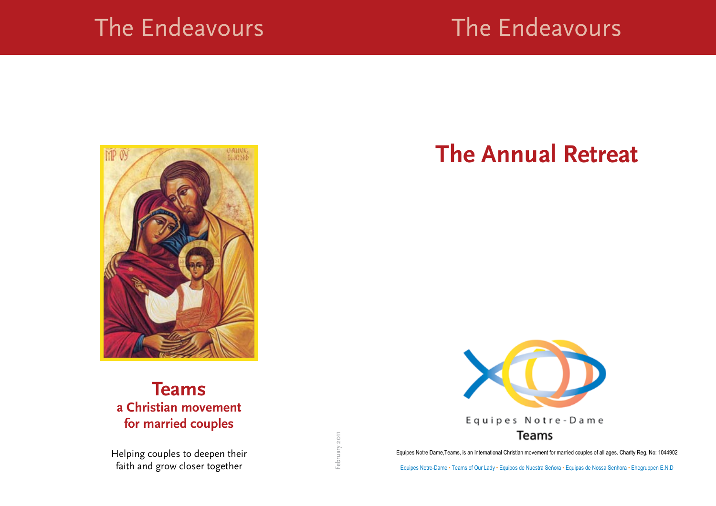### The Endeavours





### **Teams a Christian movement for married couples**

Helping couples to deepen their faith and grow closer together

# **The Annual Retreat**



Equipes Notre Dame,Teams, is an International Christian movement for married couples of all ages. Charity Reg. No: 1044902

Equipes Notre-Dame • Teams of Our Lady • Equipos de Nuestra Señora • Equipas de Nossa Senhora • Ehegruppen E.N.D